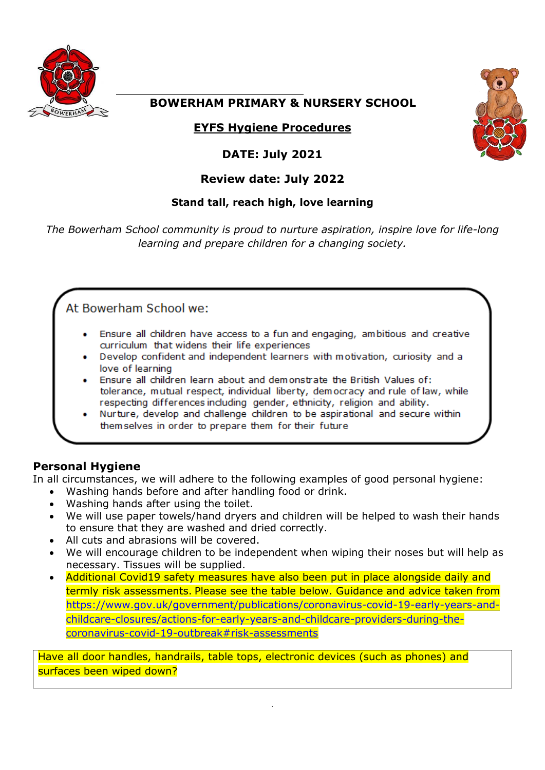

## **BOWERHAM PRIMARY & NURSERY SCHOOL**

## **EYFS Hygiene Procedures**

## **DATE: July 2021**

## **Review date: July 2022**

## **Stand tall, reach high, love learning**

*The Bowerham School community is proud to nurture aspiration, inspire love for life-long learning and prepare children for a changing society.*

# At Bowerham School we:

- Ensure all children have access to a fun and engaging, ambitious and creative curriculum that widens their life experiences
- Develop confident and independent learners with motivation, curiosity and a love of learning
- Ensure all children learn about and demonstrate the British Values of: tolerance, mutual respect, individual liberty, democracy and rule of law, while respecting differences including gender, ethnicity, religion and ability.
- Nurture, develop and challenge children to be aspirational and secure within themselves in order to prepare them for their future

## **Personal Hygiene**

In all circumstances, we will adhere to the following examples of good personal hygiene:

- Washing hands before and after handling food or drink.
- Washing hands after using the toilet.
- We will use paper towels/hand dryers and children will be helped to wash their hands to ensure that they are washed and dried correctly.
- All cuts and abrasions will be covered.
- We will encourage children to be independent when wiping their noses but will help as necessary. Tissues will be supplied.
- Additional Covid19 safety measures have also been put in place alongside daily and termly risk assessments. Please see the table below. Guidance and advice taken from [https://www.gov.uk/government/publications/coronavirus-covid-19-early-years-and](https://www.gov.uk/government/publications/coronavirus-covid-19-early-years-and-childcare-closures/actions-for-early-years-and-childcare-providers-during-the-coronavirus-covid-19-outbreak#risk-assessments)[childcare-closures/actions-for-early-years-and-childcare-providers-during-the](https://www.gov.uk/government/publications/coronavirus-covid-19-early-years-and-childcare-closures/actions-for-early-years-and-childcare-providers-during-the-coronavirus-covid-19-outbreak#risk-assessments)[coronavirus-covid-19-outbreak#risk-assessments](https://www.gov.uk/government/publications/coronavirus-covid-19-early-years-and-childcare-closures/actions-for-early-years-and-childcare-providers-during-the-coronavirus-covid-19-outbreak#risk-assessments)

Have all door handles, handrails, table tops, electronic devices (such as phones) and surfaces been wiped down?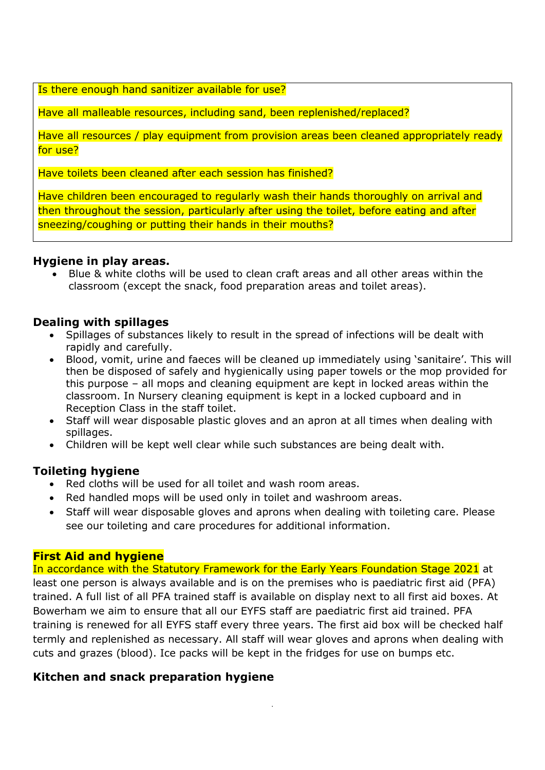Is there enough hand sanitizer available for use?

Have all malleable resources, including sand, been replenished/replaced?

Have all resources / play equipment from provision areas been cleaned appropriately ready for use?

Have toilets been cleaned after each session has finished?

Have children been encouraged to regularly wash their hands thoroughly on arrival and then throughout the session, particularly after using the toilet, before eating and after sneezing/coughing or putting their hands in their mouths?

#### **Hygiene in play areas.**

 Blue & white cloths will be used to clean craft areas and all other areas within the classroom (except the snack, food preparation areas and toilet areas).

## **Dealing with spillages**

- Spillages of substances likely to result in the spread of infections will be dealt with rapidly and carefully.
- Blood, vomit, urine and faeces will be cleaned up immediately using 'sanitaire'. This will then be disposed of safely and hygienically using paper towels or the mop provided for this purpose – all mops and cleaning equipment are kept in locked areas within the classroom. In Nursery cleaning equipment is kept in a locked cupboard and in Reception Class in the staff toilet.
- Staff will wear disposable plastic gloves and an apron at all times when dealing with spillages.
- Children will be kept well clear while such substances are being dealt with.

## **Toileting hygiene**

- Red cloths will be used for all toilet and wash room areas.
- Red handled mops will be used only in toilet and washroom areas.
- Staff will wear disposable gloves and aprons when dealing with toileting care. Please see our toileting and care procedures for additional information.

## **First Aid and hygiene**

In accordance with the Statutory Framework for the Early Years Foundation Stage 2021 at least one person is always available and is on the premises who is paediatric first aid (PFA) trained. A full list of all PFA trained staff is available on display next to all first aid boxes. At Bowerham we aim to ensure that all our EYFS staff are paediatric first aid trained. PFA training is renewed for all EYFS staff every three years. The first aid box will be checked half termly and replenished as necessary. All staff will wear gloves and aprons when dealing with cuts and grazes (blood). Ice packs will be kept in the fridges for use on bumps etc.

.

## **Kitchen and snack preparation hygiene**